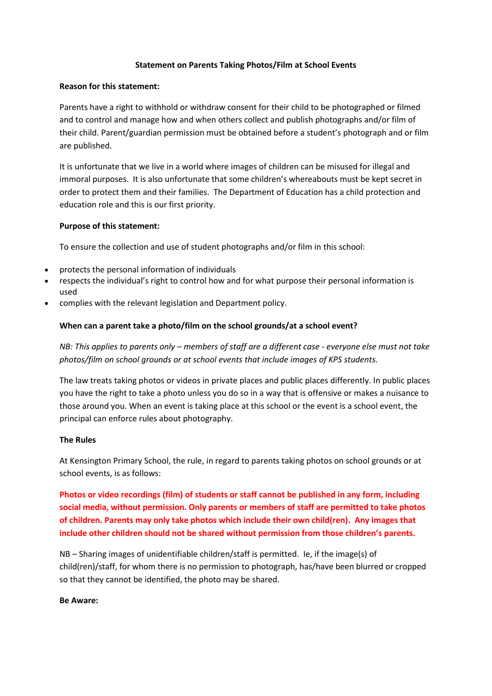## **Statement on Parents Taking Photos/Film at School Events**

## **Reason for this statement:**

Parents have a right to withhold or withdraw consent for their child to be photographed or filmed and to control and manage how and when others collect and publish photographs and/or film of their child. Parent/guardian permission must be obtained before a student's photograph and or film are published.

It is unfortunate that we live in a world where images of children can be misused for illegal and immoral purposes. It is also unfortunate that some children's whereabouts must be kept secret in order to protect them and their families. The Department of Education has a child protection and education role and this is our first priority.

#### **Purpose of this statement:**

To ensure the collection and use of student photographs and/or film in this school:

- protects the personal information of individuals
- respects the individual's right to control how and for what purpose their personal information is used
- complies with the relevant legislation and Department policy.

# **When can a parent take a photo/film on the school grounds/at a school event?**

*NB: This applies to parents only – members of staff are a different case - everyone else must not take photos/film on school grounds or at school events that include images of KPS students.*

The law treats taking photos or videos in private places and public places differently. In public places you have the right to take a photo unless you do so in a way that is offensive or makes a nuisance to those around you. When an event is taking place at this school or the event is a school event, the principal can enforce rules about photography.

## **The Rules**

At Kensington Primary School, the rule, in regard to parents taking photos on school grounds or at school events, is as follows:

**Photos or video recordings (film) of students or staff cannot be published in any form, including social media, without permission. Only parents or members of staff are permitted to take photos of children. Parents may only take photos which include their own child(ren). Any images that include other children should not be shared without permission from those children's parents.**

NB – Sharing images of unidentifiable children/staff is permitted. Ie, if the image(s) of child(ren)/staff, for whom there is no permission to photograph, has/have been blurred or cropped so that they cannot be identified, the photo may be shared.

## **Be Aware:**